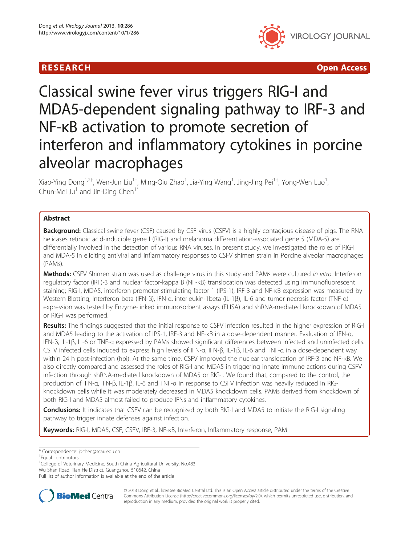

**RESEARCH CHINESE ARCH CHINESE ARCH CHINESE ARCH <b>CHINESE ARCH CHINESE ARCH CHINESE ARCH <b>CHINESE ARCH** CHINESE ARCH **CHINESE ARCH 2014** 

# Classical swine fever virus triggers RIG-I and MDA5-dependent signaling pathway to IRF-3 and NF-κB activation to promote secretion of interferon and inflammatory cytokines in porcine alveolar macrophages

Xiao-Ying Dong<sup>1,2†</sup>, Wen-Jun Liu<sup>1†</sup>, Ming-Qiu Zhao<sup>1</sup>, Jia-Ying Wang<sup>1</sup>, Jing-Jing Pei<sup>1†</sup>, Yong-Wen Luo<sup>1</sup> , Chun-Mei Ju<sup>1</sup> and Jin-Ding Chen<sup>1\*</sup>

# Abstract

Background: Classical swine fever (CSF) caused by CSF virus (CSFV) is a highly contagious disease of pigs. The RNA helicases retinoic acid-inducible gene I (RIG-I) and melanoma differentiation-associated gene 5 (MDA-5) are differentially involved in the detection of various RNA viruses. In present study, we investigated the roles of RIG-I and MDA-5 in eliciting antiviral and inflammatory responses to CSFV shimen strain in Porcine alveolar macrophages (PAMs).

Methods: CSFV Shimen strain was used as challenge virus in this study and PAMs were cultured in vitro. Interferon regulatory factor (IRF)-3 and nuclear factor-kappa B (NF-κB) translocation was detected using immunofluorescent staining; RIG-I, MDA5, interferon promoter-stimulating factor 1 (IPS-1), IRF-3 and NF-κB expression was measured by Western Blotting; Interferon beta (IFN-β), IFN-α, interleukin-1beta (IL-1β), IL-6 and tumor necrosis factor (TNF-α) expression was tested by Enzyme-linked immunosorbent assays (ELISA) and shRNA-mediated knockdown of MDA5 or RIG-I was performed.

Results: The findings suggested that the initial response to CSFV infection resulted in the higher expression of RIG-I and MDA5 leading to the activation of IPS-1, IRF-3 and NF-κB in a dose-dependent manner. Evaluation of IFN-α, IFN-β, IL-1β, IL-6 or TNF-α expressed by PAMs showed significant differences between infected and uninfected cells. CSFV infected cells induced to express high levels of IFN-α, IFN-β, IL-1β, IL-6 and TNF-α in a dose-dependent way within 24 h post-infection (hpi). At the same time, CSFV improved the nuclear translocation of IRF-3 and NF-κB. We also directly compared and assessed the roles of RIG-I and MDA5 in triggering innate immune actions during CSFV infection through shRNA-mediated knockdown of MDA5 or RIG-I. We found that, compared to the control, the production of IFN-α, IFN-β, IL-1β, IL-6 and TNF-α in response to CSFV infection was heavily reduced in RIG-I knockdown cells while it was moderately decreased in MDA5 knockdown cells. PAMs derived from knockdown of both RIG-I and MDA5 almost failed to produce IFNs and inflammatory cytokines.

**Conclusions:** It indicates that CSFV can be recognized by both RIG-I and MDA5 to initiate the RIG-I signaling pathway to trigger innate defenses against infection.

Keywords: RIG-I, MDA5, CSF, CSFV, IRF-3, NF-KB, Interferon, Inflammatory response, PAM

<sup>1</sup>College of Veterinary Medicine, South China Agricultural University, No.483 Wu Shan Road, Tian He District, Guangzhou 510642, China

Full list of author information is available at the end of the article



© 2013 Dong et al.; licensee BioMed Central Ltd. This is an Open Access article distributed under the terms of the Creative Commons Attribution License [\(http://creativecommons.org/licenses/by/2.0\)](http://creativecommons.org/licenses/by/2.0), which permits unrestricted use, distribution, and reproduction in any medium, provided the original work is properly cited.

<sup>\*</sup> Correspondence: [jdchen@scau.edu.cn](mailto:jdchen@scau.edu.cn) †

Equal contributors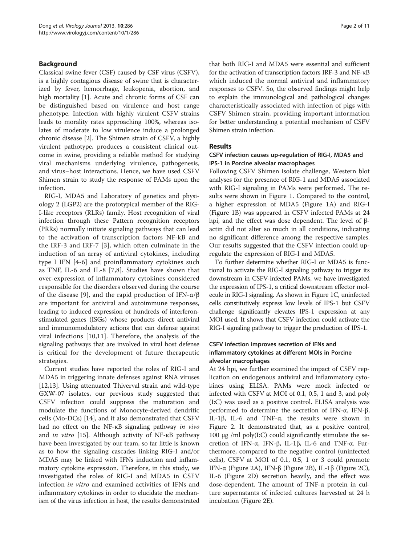# Background

Classical swine fever (CSF) caused by CSF virus (CSFV), is a highly contagious disease of swine that is characterized by fever, hemorrhage, leukopenia, abortion, and high mortality [\[1](#page-9-0)]. Acute and chronic forms of CSF can be distinguished based on virulence and host range phenotype. Infection with highly virulent CSFV strains leads to morality rates approaching 100%, whereas isolates of moderate to low virulence induce a prolonged chronic disease [[2\]](#page-9-0). The Shimen strain of CSFV, a highly virulent pathotype, produces a consistent clinical outcome in swine, providing a reliable method for studying viral mechanisms underlying virulence, pathogenesis, and virus–host interactions. Hence, we have used CSFV Shimen strain to study the response of PAMs upon the infection.

RIG-I, MDA5 and Laboratory of genetics and physiology 2 (LGP2) are the prototypical member of the RIG-I-like receptors (RLRs) family. Host recognition of viral infection through these Pattern recognition receptors (PRRs) normally initiate signaling pathways that can lead to the activation of transcription factors NF-kB and the IRF-3 and IRF-7 [[3](#page-9-0)], which often culminate in the induction of an array of antiviral cytokines, including type I IFN [[4](#page-9-0)-[6](#page-9-0)] and proinflammatory cytokines such as TNF, IL-6 and IL-8 [[7,8](#page-9-0)]. Studies have shown that over-expression of inflammatory cytokines considered responsible for the disorders observed during the course of the disease [[9\]](#page-9-0), and the rapid production of IFN- $\alpha/\beta$ are important for antiviral and autoimmune responses, leading to induced expression of hundreds of interferonstimulated genes (ISGs) whose products direct antiviral and immunomodulatory actions that can defense against viral infections [[10,11\]](#page-9-0). Therefore, the analysis of the signaling pathways that are involved in viral host defense is critical for the development of future therapeutic strategies.

Current studies have reported the roles of RIG-I and MDA5 in triggering innate defenses against RNA viruses [[12,13\]](#page-9-0). Using attenuated Thiverval strain and wild-type GXW-07 isolates, our previous study suggested that CSFV infection could suppress the maturation and modulate the functions of Monocyte-derived dendritic cells (Mo-DCs) [\[14](#page-9-0)], and it also demonstrated that CSFV had no effect on the NF-κB signaling pathway in vivo and in vitro [[15\]](#page-9-0). Although activity of NF-κB pathway have been investigated by our team, so far little is known as to how the signaling cascades linking RIG-I and/or MDA5 may be linked with IFNs induction and inflammatory cytokine expression. Therefore, in this study, we investigated the roles of RIG-I and MDA5 in CSFV infection in vitro and examined activities of IFNs and inflammatory cytokines in order to elucidate the mechanism of the virus infection in host, the results demonstrated

that both RIG-I and MDA5 were essential and sufficient for the activation of transcription factors IRF-3 and NF-κB which induced the normal antiviral and inflammatory responses to CSFV. So, the observed findings might help to explain the immunological and pathological changes characteristically associated with infection of pigs with CSFV Shimen strain, providing important information for better understanding a potential mechanism of CSFV Shimen strain infection.

# Results

# CSFV infection causes up-regulation of RIG-I, MDA5 and IPS-1 in Porcine alveolar macrophages

Following CSFV Shimen isolate challenge, Western blot analyses for the presence of RIG-1 and MDA5 associated with RIG-I signaling in PAMs were performed. The results were shown in Figure [1](#page-2-0). Compared to the control, a higher expression of MDA5 (Figure [1A](#page-2-0)) and RIG-I (Figure [1](#page-2-0)B) was appeared in CSFV infected PAMs at 24 hpi, and the effect was dose dependent. The level of βactin did not alter so much in all conditions, indicating no significant difference among the respective samples. Our results suggested that the CSFV infection could upregulate the expression of RIG-I and MDA5.

To further determine whether RIG-I or MDA5 is functional to activate the RIG-I signaling pathway to trigger its downstream in CSFV-infected PAMs, we have investigated the expression of IPS-1, a critical downstream effector molecule in RIG-I signaling. As shown in Figure [1C](#page-2-0), uninfected cells constitutively express low levels of IPS-1 but CSFV challenge significantly elevates IPS-1 expression at any MOI used. It shows that CSFV infection could activate the RIG-I signaling pathway to trigger the production of IPS-1.

# CSFV infection improves secretion of IFNs and inflammatory cytokines at different MOIs in Porcine alveolar macrophages

At 24 hpi, we further examined the impact of CSFV replication on endogenous antiviral and inflammatory cytokines using ELISA. PAMs were mock infected or infected with CSFV at MOI of 0.1, 0.5, 1 and 3, and poly (I:C) was used as a positive control. ELISA analysis was performed to determine the secretion of IFN-α, IFN-β, IL-1β, IL-6 and TNF-α, the results were shown in Figure [2.](#page-2-0) It demonstrated that, as a positive control, 100 μg /ml poly(I:C) could significantly stimulate the secretion of IFN-α, IFN-β, IL-1β, IL-6 and TNF-α. Furthermore, compared to the negative control (uninfected cells), CSFV at MOI of 0.1, 0.5, 1 or 3 could promote IFN-α (Figure [2A](#page-2-0)), IFN-β (Figure [2B](#page-2-0)), IL-1β (Figure [2C](#page-2-0)), IL-6 (Figure [2D](#page-2-0)) secretion heavily, and the effect was dose-dependent. The amount of TNF-α protein in culture supernatants of infected cultures harvested at 24 h incubation (Figure [2E](#page-2-0)).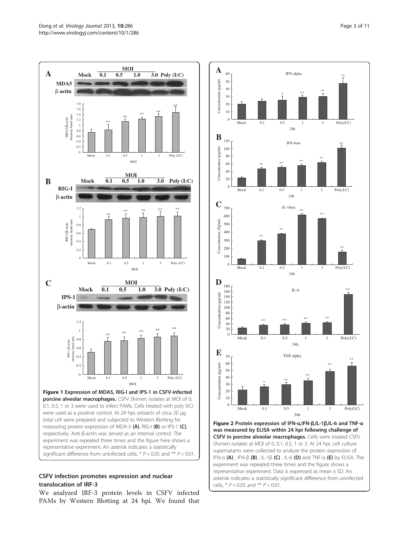<span id="page-2-0"></span>



# CSFV infection promotes expression and nuclear translocation of IRF-3

We analyzed IRF-3 protein levels in CSFV infected PAMs by Western Blotting at 24 hpi. We found that



representative experiment. Data is expressed as mean ± SD. An asterisk indicates a statistically significant difference from uninfected

cells,  $*$   $P < 0.05$  and  $*$   $*$   $P < 0.01$ .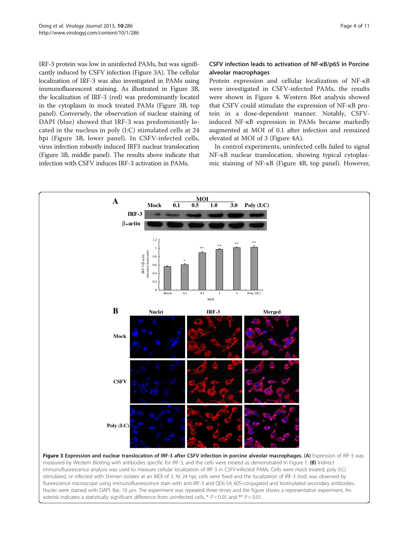<span id="page-3-0"></span>IRF-3 protein was low in uninfected PAMs, but was significantly induced by CSFV infection (Figure 3A). The cellular localization of IRF-3 was also investigated in PAMs using immunofluorescent staining. As illustrated in Figure 3B, the localization of IRF-3 (red) was predominantly located in the cytoplasm in mock treated PAMs (Figure 3B, top panel). Conversely, the observation of nuclear staining of DAPI (blue) showed that IRF-3 was predominantly located in the nucleus in poly (I:C) stimulated cells at 24 hpi (Figure 3B, lower panel). In CSFV-infected cells, virus infection robustly induced IRF3 nuclear translocation (Figure 3B, middle panel). The results above indicate that infection with CSFV induces IRF-3 activation in PAMs.

#### CSFV infection leads to activation of NF-κB/p65 in Porcine alveolar macrophages

Protein expression and cellular localization of NF-κB were investigated in CSFV-infected PAMs, the results were shown in Figure [4](#page-4-0). Western Blot analysis showed that CSFV could stimulate the expression of NF-κB protein in a dose-dependent manner. Notably, CSFVinduced NF-κB expression in PAMs became markedly augmented at MOI of 0.1 after infection and remained elevated at MOI of 3 (Figure [4A](#page-4-0)).

In control experiments, uninfected cells failed to signal NF-κB nuclear translocation, showing typical cytoplasmic staining of NF-κB (Figure [4](#page-4-0)B, top panel). However,

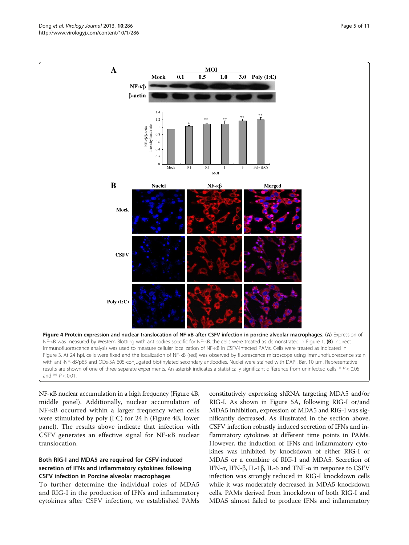NF-κB nuclear accumulation in a high frequency (Figure 4B, middle panel). Additionally, nuclear accumulation of NF-κB occurred within a larger frequency when cells were stimulated by poly (I:C) for 24 h (Figure 4B, lower panel). The results above indicate that infection with CSFV generates an effective signal for NF-κB nuclear translocation.

# Both RIG-I and MDA5 are required for CSFV-induced secretion of IFNs and inflammatory cytokines following CSFV infection in Porcine alveolar macrophages

To further determine the individual roles of MDA5 and RIG-I in the production of IFNs and inflammatory cytokines after CSFV infection, we established PAMs

constitutively expressing shRNA targeting MDA5 and/or RIG-I. As shown in Figure [5](#page-5-0)A, following RIG-I or/and MDA5 inhibition, expression of MDA5 and RIG-I was significantly decreased. As illustrated in the section above, CSFV infection robustly induced secretion of IFNs and inflammatory cytokines at different time points in PAMs. However, the induction of IFNs and inflammatory cytokines was inhibited by knockdown of either RIG-I or MDA5 or a combine of RIG-I and MDA5. Secretion of IFN-α, IFN-β, IL-1β, IL-6 and TNF-α in response to CSFV infection was strongly reduced in RIG-I knockdown cells while it was moderately decreased in MDA5 knockdown cells. PAMs derived from knockdown of both RIG-I and MDA5 almost failed to produce IFNs and inflammatory

<span id="page-4-0"></span>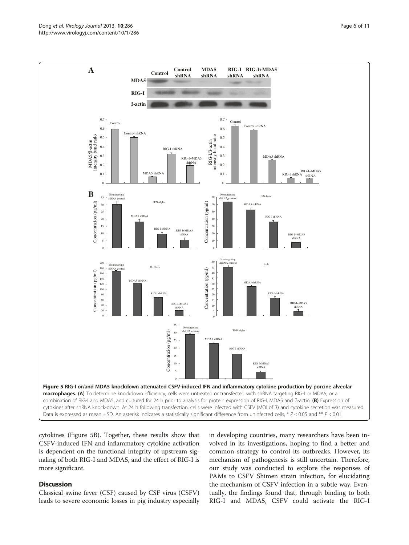<span id="page-5-0"></span>

cytokines (Figure 5B). Together, these results show that CSFV-induced IFN and inflammatory cytokine activation is dependent on the functional integrity of upstream signaling of both RIG-I and MDA5, and the effect of RIG-I is more significant.

# **Discussion**

Classical swine fever (CSF) caused by CSF virus (CSFV) leads to severe economic losses in pig industry especially in developing countries, many researchers have been involved in its investigations, hoping to find a better and common strategy to control its outbreaks. However, its mechanism of pathogenesis is still uncertain. Therefore, our study was conducted to explore the responses of PAMs to CSFV Shimen strain infection, for elucidating the mechanism of CSFV infection in a subtle way. Eventually, the findings found that, through binding to both RIG-I and MDA5, CSFV could activate the RIG-I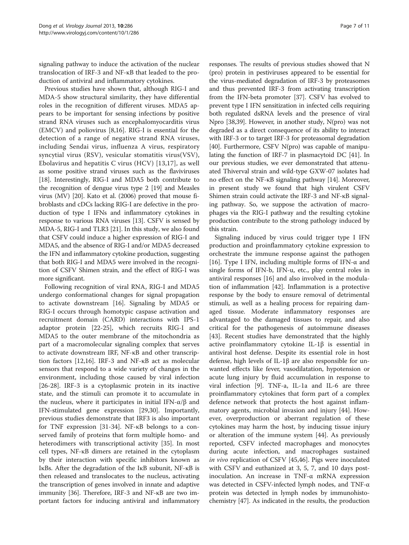signaling pathway to induce the activation of the nuclear translocation of IRF-3 and NF-κB that leaded to the production of antiviral and inflammatory cytokines.

Previous studies have shown that, although RIG-I and MDA-5 show structural similarity, they have differential roles in the recognition of different viruses. MDA5 appears to be important for sensing infections by positive strand RNA viruses such as encephalomyocarditis virus (EMCV) and poliovirus [\[8,16](#page-9-0)]. RIG-I is essential for the detection of a range of negative strand RNA viruses, including Sendai virus, influenza A virus, respiratory syncytial virus (RSV), vesicular stomatitis virus(VSV), Ebolavirus and hepatitis C virus (HCV) [[13,17](#page-9-0)], as well as some positive strand viruses such as the flaviviruses [[18](#page-9-0)]. Interestingly, RIG-I and MDA5 both contribute to the recognition of dengue virus type 2 [\[19\]](#page-9-0) and Measles virus (MV) [\[20](#page-9-0)]. Kato et al. (2006) proved that mouse fibroblasts and cDCs lacking RIG-I are defective in the production of type I IFNs and inflammatory cytokines in response to various RNA viruses [\[13\]](#page-9-0). CSFV is sensed by MDA-5, RIG-I and TLR3 [[21](#page-9-0)]. In this study, we also found that CSFV could induce a higher expression of RIG-I and MDA5, and the absence of RIG-I and/or MDA5 decreased the IFN and inflammatory cytokine production, suggesting that both RIG-I and MDA5 were involved in the recognition of CSFV Shimen strain, and the effect of RIG-I was more significant.

Following recognition of viral RNA, RIG-I and MDA5 undergo conformational changes for signal propagation to activate downstream [[16](#page-9-0)]. Signaling by MDA5 or RIG-I occurs through homotypic caspase activation and recruitment domain (CARD) interactions with IPS-1 adaptor protein [\[22](#page-9-0)-[25\]](#page-9-0), which recruits RIG-I and MDA5 to the outer membrane of the mitochondria as part of a macromolecular signaling complex that serves to activate downstream IRF, NF-κB and other transcription factors [\[12,16\]](#page-9-0). IRF-3 and NF-κB act as molecular sensors that respond to a wide variety of changes in the environment, including those caused by viral infection [[26-28](#page-9-0)]. IRF-3 is a cytoplasmic protein in its inactive state, and the stimuli can promote it to accumulate in the nucleus, where it participates in initial IFN- $\alpha$ /β and IFN-stimulated gene expression [[29](#page-9-0),[30](#page-9-0)]. Importantly, previous studies demonstrate that IRF3 is also important for TNF expression [\[31](#page-9-0)-[34\]](#page-10-0). NF-κB belongs to a conserved family of proteins that form multiple homo- and heterodimers with transcriptional activity [[35\]](#page-10-0). In most cell types, NF-κB dimers are retained in the cytoplasm by their interaction with specific inhibitors known as IκBs. After the degradation of the IκB subunit, NF-κB is then released and translocates to the nucleus, activating the transcription of genes involved in innate and adaptive immunity [[36](#page-10-0)]. Therefore, IRF-3 and NF-κB are two important factors for inducing antiviral and inflammatory

responses. The results of previous studies showed that N (pro) protein in pestiviruses appeared to be essential for the virus-mediated degradation of IRF-3 by proteasomes and thus prevented IRF-3 from activating transcription from the IFN-beta promoter [\[37\]](#page-10-0). CSFV has evolved to prevent type I IFN sensitization in infected cells requiring both regulated dsRNA levels and the presence of viral Npro [\[38,39\]](#page-10-0). However, in another study, N(pro) was not degraded as a direct consequence of its ability to interact with IRF-3 or to target IRF-3 for proteasomal degradation [[40](#page-10-0)]. Furthermore, CSFV N(pro) was capable of manipulating the function of IRF-7 in plasmacytoid DC [\[41](#page-10-0)]. In our previous studies, we ever demonstrated that attenuated Thiverval strain and wild-type GXW-07 isolates had no effect on the NF-κB signaling pathway [[14\]](#page-9-0). Moreover, in present study we found that high virulent CSFV Shimen strain could activate the IRF-3 and NF-κB signaling pathway. So, we suppose the activation of macrophages via the RIG-I pathway and the resulting cytokine production contribute to the strong pathology induced by this strain.

Signaling induced by virus could trigger type I IFN production and proinflammatory cytokine expression to orchestrate the immune response against the pathogen [[16\]](#page-9-0). Type I IFN, including multiple forms of IFN-α and single forms of IFN-b, IFN-u, etc., play central roles in antiviral responses [[16\]](#page-9-0) and also involved in the modulation of inflammation [[42](#page-10-0)]. Inflammation is a protective response by the body to ensure removal of detrimental stimuli, as well as a healing process for repairing damaged tissue. Moderate inflammatory responses are advantaged to the damaged tissues to repair, and also critical for the pathogenesis of autoimmune diseases [[43\]](#page-10-0). Recent studies have demonstrated that the highly active proinflammatory cytokine IL-1β is essential in antiviral host defense. Despite its essential role in host defense, high levels of IL-1β are also responsible for unwanted effects like fever, vasodilatation, hypotension or acute lung injury by fluid accumulation in response to viral infection [\[9\]](#page-9-0). TNF-a, IL-1a and IL-6 are three proinflammatory cytokines that form part of a complex defence network that protects the host against inflammatory agents, microbial invasion and injury [[44\]](#page-10-0). However, overproduction or aberrant regulation of these cytokines may harm the host, by inducing tissue injury or alteration of the immune system [[44\]](#page-10-0). As previously reported, CSFV infected macrophages and monocytes during acute infection, and macrophages sustained in vivo replication of CSFV [\[45,46](#page-10-0)]. Pigs were inoculated with CSFV and euthanized at 3, 5, 7, and 10 days postinoculation. An increase in TNF-α mRNA expression was detected in CSFV-infected lymph nodes, and TNF-α protein was detected in lymph nodes by immunohistochemistry [[47](#page-10-0)]. As indicated in the results, the production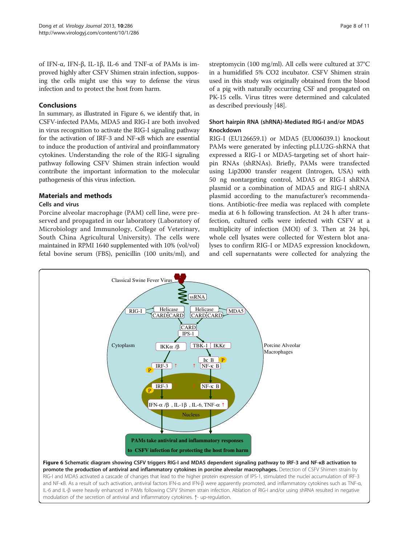of IFN-α, IFN-β, IL-1β, IL-6 and TNF-α of PAMs is improved highly after CSFV Shimen strain infection, supposing the cells might use this way to defense the virus infection and to protect the host from harm.

#### Conclusions

In summary, as illustrated in Figure 6, we identify that, in CSFV-infected PAMs, MDA5 and RIG-I are both involved in virus recognition to activate the RIG-I signaling pathway for the activation of IRF-3 and NF-κB which are essential to induce the production of antiviral and proinflammatory cytokines. Understanding the role of the RIG-I signaling pathway following CSFV Shimen strain infection would contribute the important information to the molecular pathogenesis of this virus infection.

#### Materials and methods

# Cells and virus

Porcine alveolar macrophage (PAM) cell line, were preserved and propagated in our laboratory (Laboratory of Microbiology and Immunology, College of Veterinary, South China Agricultural University). The cells were maintained in RPMI 1640 supplemented with 10% (vol/vol) fetal bovine serum (FBS), penicillin (100 units/ml), and

streptomycin (100 mg/ml). All cells were cultured at 37°C in a humidified 5% CO2 incubator. CSFV Shimen strain used in this study was originally obtained from the blood of a pig with naturally occurring CSF and propagated on PK-15 cells. Virus titres were determined and calculated as described previously [[48](#page-10-0)].

# Short hairpin RNA (shRNA)-Mediated RIG-I and/or MDA5 Knockdown

RIG-I (EU126659.1) or MDA5 (EU006039.1) knockout PAMs were generated by infecting pLLU2G-shRNA that expressed a RIG-1 or MDA5-targeting set of short hairpin RNAs (shRNAs). Briefly, PAMs were transfected using Lip2000 transfer reagent (Introgen, USA) with 50 ng nontargeting control, MDA5 or RIG-I shRNA plasmid or a combination of MDA5 and RIG-I shRNA plasmid according to the manufacturer's recommendations. Antibiotic-free media was replaced with complete media at 6 h following transfection. At 24 h after transfection, cultured cells were infected with CSFV at a multiplicity of infection (MOI) of 3. Then at 24 hpi, whole cell lysates were collected for Western blot analyses to confirm RIG-I or MDA5 expression knockdown, and cell supernatants were collected for analyzing the



promote the production of antiviral and inflammatory cytokines in porcine alveolar macrophages. Detection of CSFV Shimen strain by RIG-I and MDA5 activated a cascade of changes that lead to the higher protein expression of IPS-1, stimulated the nuclei accumulation of IRF-3 and NF-κB. As a result of such activation, antiviral factors IFN-α and IFN-β were apparently promoted, and inflammatory cytokines such as TNF-α, IL-6 and IL-β were heavily enhanced in PAMs following CSFV Shimen strain infection. Ablation of RIG-I and/or using shRNA resulted in negative modulation of the secretion of antiviral and inflammatory cytokines. ↑- up-regulation.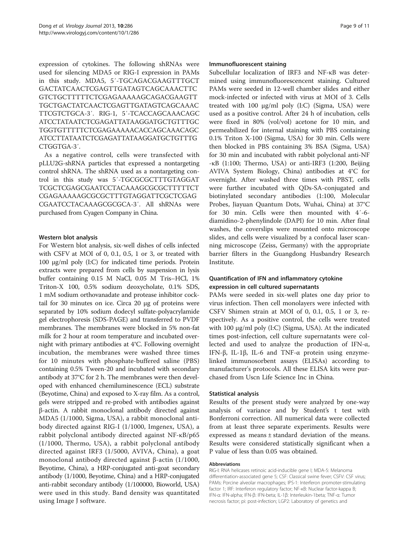expression of cytokines. The following shRNAs were used for silencing MDA5 or RIG-I expression in PAMs in this study. MDA5, 5′-TGCAGACGAAGTTTGCT GACTATCAACTCGAGTTGATAGTCAGCAAACTTC GTCTGCTTTTTCTCGAGAAAAAGCAGACGAAGTT TGCTGACTATCAACTCGAGTTGATAGTCAGCAAAC TTCGTCTGCA-3′. RIG-1, 5′-TCACCAGCAAACAGC ATCCTATAATCTCGAGATTATAAGGATGCTGTTTGC TGGTGTTTTTCTCGAGAAAAACACCAGCAAACAGC ATCCTTATAATCTCGAGATTATAAGGATGCTGTTTG CTGGTGA-3′.

As a negative control, cells were transfected with pLLU2G-shRNA particles that expressed a nontargeting control shRNA. The shRNA used as a nontargeting control in this study was 5′-TGCGCGCTTTGTAGGAT TCGCTCGAGCGAATCCTACAAAGCGCGCTTTTTCT CGAGAAAAAGCGCGCTTTGTAGGATTCGCTCGAG CGAATCCTACAAAGCGCGCA-3′. All shRNAs were purchased from Cyagen Company in China.

#### Western blot analysis

For Western blot analysis, six-well dishes of cells infected with CSFV at MOI of 0, 0.1, 0.5, 1 or 3, or treated with 100 μg/ml poly (I:C) for indicated time periods. Protein extracts were prepared from cells by suspension in lysis buffer containing 0.15 M NaCl, 0.05 M Tris–HCl, 1% Triton-X 100, 0.5% sodium deoxycholate, 0.1% SDS, 1 mM sodium orthovanadate and protease inhibitor cocktail for 30 minutes on ice. Circa 20 μg of proteins were separated by 10% sodium dodecyl sulfate-polyacrylamide gel electrophoresis (SDS-PAGE) and transferred to PVDF membranes. The membranes were blocked in 5% non-fat milk for 2 hour at room temperature and incubated overnight with primary antibodies at 4°C. Following overnight incubation, the membranes were washed three times for 10 minutes with phosphate-buffered saline (PBS) containing 0.5% Tween-20 and incubated with secondary antibody at 37°C for 2 h. The membranes were then developed with enhanced chemiluminescence (ECL) substrate (Beyotime, China) and exposed to X-ray film. As a control, gels were stripped and re-probed with antibodies against β-actin. A rabbit monoclonal antibody directed against MDA5 (1/1000, Sigma, USA), a rabbit monoclonal antibody directed against RIG-I (1/1000, Imgenex, USA), a rabbit polyclonal antibody directed against NF-κB/p65 (1/1000, Thermo, USA), a rabbit polyclonal antibody directed against IRF3 (1/5000, AVIVA, China), a goat monoclonal antibody directed against β-actin (1/1000, Beyotime, China), a HRP-conjugated anti-goat secondary antibody (1/1000, Beyotime, China) and a HRP-conjugated anti-rabbit secondary antibody (1/100000, Bioworld, USA) were used in this study. Band density was quantitated using Image J software.

#### Immunofluorescent staining

Subcellular localization of IRF3 and NF-κB was determined using immunofluorescencent staining. Cultured PAMs were seeded in 12-well chamber slides and either mock-infected or infected with virus at MOI of 3. Cells treated with 100 μg/ml poly (I:C) (Sigma, USA) were used as a positive control. After 24 h of incubation, cells were fixed in 80% (vol/vol) acetone for 10 min, and permeabilized for internal staining with PBS containing 0.1% Triton X-100 (Sigma, USA) for 30 min. Cells were then blocked in PBS containing 3% BSA (Sigma, USA) for 30 min and incubated with rabbit polyclonal anti-NF -κB (1:100; Thermo, USA) or anti-IRF3 (1:200, Beijing AVIVA System Biology, China) antibodies at 4°C for overnight. After washed three times with PBST, cells were further incubated with QDs-SA-conjugated and biotinylated secondary antibodies (1:100, Molecular Probes, Jiayuan Quantum Dots, Wuhai, China) at 37°C for 30 min. Cells were then mounted with 4′-6 diamidino-2-phenylindole (DAPI) for 10 min. After final washes, the coverslips were mounted onto microscope slides, and cells were visualized by a confocal laser scanning microscope (Zeiss, Germany) with the appropriate barrier filters in the Guangdong Husbandry Research Institute.

# Quantification of IFN and inflammatory cytokine expression in cell cultured supernatants

PAMs were seeded in six-well plates one day prior to virus infection. Then cell monolayers were infected with CSFV Shimen strain at MOI of 0, 0.1, 0.5, 1 or 3, respectively. As a positive control, the cells were treated with 100 μg/ml poly (I:C) (Sigma, USA). At the indicated times post-infection, cell culture supernatants were collected and used to analyze the production of IFN-α, IFN-β, IL-1β, IL-6 and TNF-α protein using enzymelinked immunosorbent assays (ELISAs) according to manufacturer's protocols. All these ELISA kits were purchased from Uscn Life Science Inc in China.

#### Statistical analysis

Results of the present study were analyzed by one-way analysis of variance and by Student's t test with Bonferroni correction. All numerical data were collected from at least three separate experiments. Results were expressed as means ± standard deviation of the means. Results were considered statistically significant when a P value of less than 0.05 was obtained.

#### Abbreviations

RIG-I: RNA helicases retinoic acid-inducible gene I; MDA-5: Melanoma differentiation-associated gene 5; CSF: Classical swine fever; CSFV: CSF virus; PAMs: Porcine alveolar macrophages; IPS-1: Interferon promoter-stimulating factor 1; IRF: Interferon regulatory factor; NF-κB: Nuclear factor-kappa B; IFN-α: IFN-alpha; IFN-β: IFN-beta; IL-1β: Interleukin-1beta; TNF-α: Tumor necrosis factor; pi: post-infection; LGP2: Laboratory of genetics and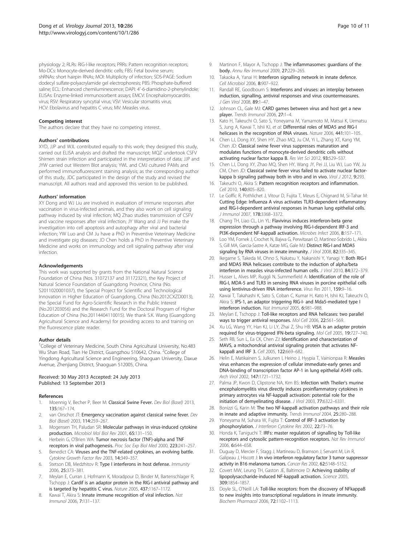<span id="page-9-0"></span>physiology 2; RLRs: RIG-I-like receptors; PRRs: Pattern recognition receptors; Mo-DCs: Monocyte-derived dendritic cells; FBS: Fetal bovine serum; shRNAs: short hairpin RNAs; MOI: Multiplicity of infection; SDS-PAGE: Sodium dodecyl sulfate-polyacrylamide gel electrophoresis; PBS: Phosphate-buffered saline; ECL: Enhanced chemiluminescence; DAPI: 4′-6-diamidino-2-phenylindole; ELISAs: Enzyme-linked immunosorbent assays; EMCV: Encephalomyocarditis virus; RSV: Respiratory syncytial virus; VSV: Vesicular stomatitis virus; HCV: Ebolavirus and hepatitis C virus; MV: Measles virus.

#### Competing interest

The authors declare that they have no competing interest.

#### Authors' contributions

XYD, JJP and WJL contributed equally to this work; they designed this study, carried out ELISA analysis and drafted the manuscript; MQZ undertook CSF Shimen strain infection and participated in the interpretation of data; JJP and JYW carried out Western Blot analysis; YWL and CMJ cultured PAMs and performed immunofluorescent staining analysis; as the corresponding author of this study, JDC participated in the design of the study and revised the manuscript. All authors read and approved this version to be published.

#### Authors' information

XY Dong and WJ Liu are involved in evaluation of immune responses after vaccination in virus-infected animals, and they also work on cell signaling pathway induced by viral infection; MQ Zhao studies transmission of CSFV and vaccine responses after viral infection; JY Wang and JJ Pei make the investigation into cell apoptosis and autophagy after viral and bacterial infection; YW Luo and CM Ju have a PhD in Preventive Veterinary Medicine and investigate pig diseases; JD Chen holds a PhD in Preventive Veterinary Medicine and works on immunology and cell signaling pathway after viral infection.

#### Acknowledgements

This work was supported by grants from the National Natural Science Foundation of China (Nos. 31072137 and 31172321), the Key Project of Natural Science Foundation of Guangdong Province, China (No. S2011020001037), the Special Project for Scientific and Technological Innovation in Higher Education of Guangdong, China (No.2012CXZD0013), the Special Fund for Agro-Scientific Research in the Public Interest (No.201203056) and the Research Fund for the Doctoral Program of Higher Education of China (No.20114404110015). We thank S.K. Wang (Guangdong Agricultural Science and Academy) for providing access to and training on the fluorescence plate reader.

#### Author details

<sup>1</sup>College of Veterinary Medicine, South China Agricultural University, No.483 Wu Shan Road, Tian He District, Guangzhou 510642, China. <sup>2</sup>College of Yingdong Agricultural Science and Engineering, Shaoguan University, Daxue Avenue, Zhenjiang District, Shaoguan 512005, China.

#### Received: 30 May 2013 Accepted: 24 July 2013 Published: 13 September 2013

#### References

- Moennig V, Becher P, Beer M: Classical Swine Fever. Dev Biol (Basel) 2013, 135:167–174.
- 2. van Oirschot JT: Emergency vaccination against classical swine fever. Dev Biol (Basel) 2003, 114:259–267.
- 3. Mogensen TH, Paludan SR: Molecular pathways in virus-induced cytokine production. Microbiol Mol Biol Rev 2001, 65:131–150.
- 4. Herbein G, O'Brien WA: Tumor necrosis factor (TNF)-alpha and TNF receptors in viral pathogenesis. Proc Soc Exp Biol Med 2000, 223:241–257.
- 5. Benedict CA: Viruses and the TNF-related cytokines, an evolving battle. Cytokine Growth Factor Rev 2003, 14:349–357.
- 6. Stetson DB, Medzhitov R: Type I interferons in host defense. Immunity 2006, 25:373–381.
- 7. Meylan E, Curran J, Hofmann K, Moradpour D, Binder M, Bartenschlager R, Tschopp J: Cardif is an adaptor protein in the RIG-I antiviral pathway and is targeted by hepatitis C virus. Nature 2005, 437:1167–1172.
- 8. Kawai T, Akira S: Innate immune recognition of viral infection. Nat Immunol 2006, 7:131–137.
- 9. Martinon F, Mayor A, Tschopp J: The inflammasomes: guardians of the body. Annu Rev Immunol 2009, 27:229–265.
- 10. Takaoka A, Yanai H: Interferon signalling network in innate defence. Cell Microbiol 2006, 8:907–922.
- 11. Randall RE, Goodbourn S: Interferons and viruses: an interplay between induction, signalling, antiviral responses and virus countermeasures. J Gen Virol 2008, 89:1–47.
- 12. Johnson CL, Gale MJ: CARD games between virus and host get a new player. Trends Immunol 2006, 27:1–4.
- 13. Kato H, Takeuchi O, Sato S, Yoneyama M, Yamamoto M, Matsui K, Uematsu S, Jung A, Kawai T, Ishii KJ, et al: Differential roles of MDA5 and RIG-I helicases in the recognition of RNA viruses. Nature 2006, 441:101-105.
- 14. Chen LJ, Dong XY, Shen HY, Zhao MQ, Ju CM, Yi L, Zhang XT, Kang YM, Chen JD: Classical swine fever virus suppresses maturation and modulates functions of monocyte-derived dendritic cells without activating nuclear factor kappa B. Res Vet Sci 2012, 93:529–537.
- 15. Chen LJ, Dong XY, Zhao MQ, Shen HY, Wang JY, Pei JJ, Liu WJ, Luo YW, Ju CM, Chen JD: Classical swine fever virus failed to activate nuclear factorkappa b signaling pathway both in vitro and in vivo. Virol J 2012, 9:293.
- 16. Takeuchi O, Akira S: Pattern recognition receptors and inflammation. Cell 2010, 140:805–820.
- 17. Le Goffic R, Pothlichet J, Vitour D, Fujita T, Meurs E, Chignard M, Si-Tahar M: Cutting Edge: Influenza A virus activates TLR3-dependent inflammatory and RIG-I-dependent antiviral responses in human lung epithelial cells. J Immunol 2007, 178:3368–3372.
- 18. Chang TH, Liao CL, Lin YL: Flavivirus induces interferon-beta gene expression through a pathway involving RIG-I-dependent IRF-3 and PI3K-dependent NF-kappaB activation. Microbes Infect 2006, 8:157-171.
- 19. Loo YM, Fornek J, Crochet N, Bajwa G, Perwitasari O, Martinez-Sobrido L, Akira S, Gill MA, Garcia-Sastre A, Katze MG, Gale MJ: Distinct RIG-I and MDA5 signaling by RNA viruses in innate immunity. J Virol 2008, 82:335-345.
- 20. Ikegame S, Takeda M, Ohno S, Nakatsu Y, Nakanishi Y, Yanagi Y: Both RIG-I and MDA5 RNA helicases contribute to the induction of alpha/beta interferon in measles virus-infected human cells. J Virol 2010, 84:372–379.
- 21. Husser L, Alves MP, Ruggli N, Summerfield A: Identification of the role of RIG-I, MDA-5 and TLR3 in sensing RNA viruses in porcine epithelial cells using lentivirus-driven RNA interference. Virus Res 2011, 159:9–16.
- 22. Kawai T, Takahashi K, Sato S, Coban C, Kumar H, Kato H, Ishii KJ, Takeuchi O, Akira S: IPS-1, an adaptor triggering RIG-I- and Mda5-mediated type I interferon induction. Nat Immunol 2005, 6:981–988.
- 23. Meylan E, Tschopp J: Toll-like receptors and RNA helicases: two parallel ways to trigger antiviral responses. Mol Cell 2006, 22:561–569.
- 24. Xu LG, Wang YY, Han KJ, Li LY, Zhai Z, Shu HB: VISA is an adapter protein required for virus-triggered IFN-beta signaling. Mol Cell 2005, 19:727–740.
- 25. Seth RB, Sun L, Ea CK, Chen ZJ: Identification and characterization of MAVS, a mitochondrial antiviral signaling protein that activates NFkappaB and IRF 3. Cell 2005, 122:669–682.
- 26. Helin E, Matikainen S, Julkunen I, Heino J, Hyypia T, Vainionpaa R: Measles virus enhances the expression of cellular immediate-early genes and DNA-binding of transcription factor AP-1 in lung epithelial A549 cells. Arch Virol 2002, 147:1721–1732.
- 27. Palma JP, Kwon D, Clipstone NA, Kim BS: Infection with Theiler's murine encephalomyelitis virus directly induces proinflammatory cytokines in primary astrocytes via NF-kappaB activation: potential role for the initiation of demyelinating disease. J Virol 2003, 77:6322–6331.
- 28. Bonizzi G, Karin M: The two NF-kappaB activation pathways and their role in innate and adaptive immunity. Trends Immunol 2004, 25:280-288.
- 29. Yoneyama M, Suhara W, Fujita T: Control of IRF-3 activation by phosphorylation. J Interferon Cytokine Res 2002, 22:73–76.
- 30. Honda K, Taniguchi T: IRFs: master regulators of signalling by Toll-like receptors and cytosolic pattern-recognition receptors. Nat Rev Immunol 2006, 6:644–658.
- 31. Duguay D, Mercier F, Stagg J, Martineau D, Bramson J, Servant M, Lin R, Galipeau J, Hiscott J: In vivo interferon regulatory factor 3 tumor suppressor activity in B16 melanoma tumors. Cancer Res 2002, 62:5148-5152.
- 32. Covert MW, Leung TH, Gaston JE, Baltimore D: Achieving stability of lipopolysaccharide-induced NF-kappaB activation. Science 2005, 309:1854–1857.
- 33. Doyle SL, O'Neill LA: Toll-like receptors: from the discovery of NFkappaB to new insights into transcriptional regulations in innate immunity. Biochem Pharmacol 2006, 72:1102–1113.